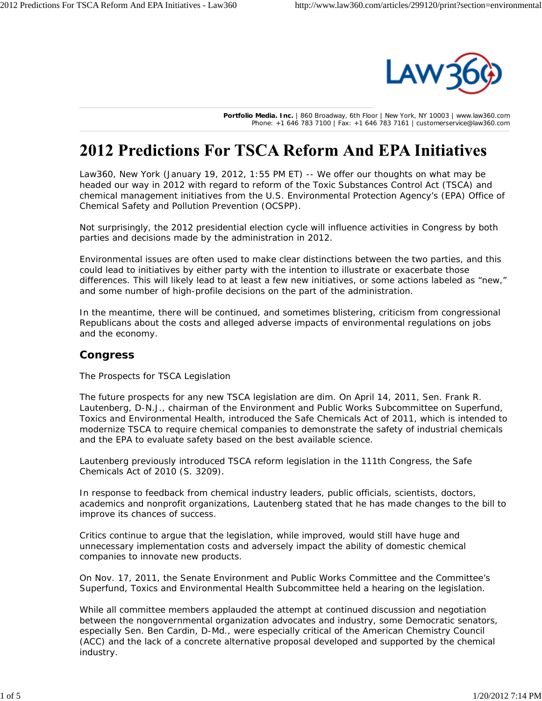

**Portfolio Media. Inc.** | 860 Broadway, 6th Floor | New York, NY 10003 | www.law360.com Phone: +1 646 783 7100 | Fax: +1 646 783 7161 | customerservice@law360.com

# **2012 Predictions For TSCA Reform And EPA Initiatives**

Law360, New York (January 19, 2012, 1:55 PM ET) -- We offer our thoughts on what may be headed our way in 2012 with regard to reform of the Toxic Substances Control Act (TSCA) and chemical management initiatives from the U.S. Environmental Protection Agency's (EPA) Office of Chemical Safety and Pollution Prevention (OCSPP).

Not surprisingly, the 2012 presidential election cycle will influence activities in Congress by both parties and decisions made by the administration in 2012.

Environmental issues are often used to make clear distinctions between the two parties, and this could lead to initiatives by either party with the intention to illustrate or exacerbate those differences. This will likely lead to at least a few new initiatives, or some actions labeled as "new," and some number of high-profile decisions on the part of the administration.

In the meantime, there will be continued, and sometimes blistering, criticism from congressional Republicans about the costs and alleged adverse impacts of environmental regulations on jobs and the economy.

## **Congress**

#### *The Prospects for TSCA Legislation*

The future prospects for any new TSCA legislation are dim. On April 14, 2011, Sen. Frank R. Lautenberg, D-N.J., chairman of the Environment and Public Works Subcommittee on Superfund, Toxics and Environmental Health, introduced the Safe Chemicals Act of 2011, which is intended to modernize TSCA to require chemical companies to demonstrate the safety of industrial chemicals and the EPA to evaluate safety based on the best available science.

Lautenberg previously introduced TSCA reform legislation in the 111th Congress, the Safe Chemicals Act of 2010 (S. 3209).

In response to feedback from chemical industry leaders, public officials, scientists, doctors, academics and nonprofit organizations, Lautenberg stated that he has made changes to the bill to improve its chances of success.

Critics continue to argue that the legislation, while improved, would still have huge and unnecessary implementation costs and adversely impact the ability of domestic chemical companies to innovate new products.

On Nov. 17, 2011, the Senate Environment and Public Works Committee and the Committee's Superfund, Toxics and Environmental Health Subcommittee held a hearing on the legislation.

While all committee members applauded the attempt at continued discussion and negotiation between the nongovernmental organization advocates and industry, some Democratic senators, especially Sen. Ben Cardin, D-Md., were especially critical of the American Chemistry Council (ACC) and the lack of a concrete alternative proposal developed and supported by the chemical industry.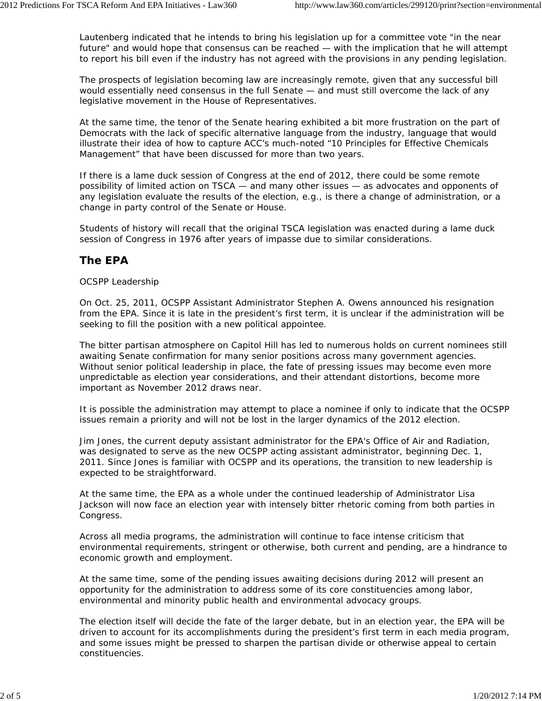Lautenberg indicated that he intends to bring his legislation up for a committee vote "in the near future" and would hope that consensus can be reached - with the implication that he will attempt to report his bill even if the industry has not agreed with the provisions in any pending legislation.

The prospects of legislation becoming law are increasingly remote, given that any successful bill would essentially need consensus in the full Senate — and must still overcome the lack of any legislative movement in the House of Representatives.

At the same time, the tenor of the Senate hearing exhibited a bit more frustration on the part of Democrats with the lack of specific alternative language from the industry, language that would illustrate their idea of how to capture ACC's much-noted "10 Principles for Effective Chemicals Management" that have been discussed for more than two years.

If there is a lame duck session of Congress at the end of 2012, there could be some remote possibility of limited action on TSCA — and many other issues — as advocates and opponents of any legislation evaluate the results of the election, e.g., is there a change of administration, or a change in party control of the Senate or House.

Students of history will recall that the original TSCA legislation was enacted during a lame duck session of Congress in 1976 after years of impasse due to similar considerations.

## **The EPA**

### *OCSPP Leadership*

On Oct. 25, 2011, OCSPP Assistant Administrator Stephen A. Owens announced his resignation from the EPA. Since it is late in the president's first term, it is unclear if the administration will be seeking to fill the position with a new political appointee.

The bitter partisan atmosphere on Capitol Hill has led to numerous holds on current nominees still awaiting Senate confirmation for many senior positions across many government agencies. Without senior political leadership in place, the fate of pressing issues may become even more unpredictable as election year considerations, and their attendant distortions, become more important as November 2012 draws near.

It is possible the administration may attempt to place a nominee if only to indicate that the OCSPP issues remain a priority and will not be lost in the larger dynamics of the 2012 election.

Jim Jones, the current deputy assistant administrator for the EPA's Office of Air and Radiation, was designated to serve as the new OCSPP acting assistant administrator, beginning Dec. 1, 2011. Since Jones is familiar with OCSPP and its operations, the transition to new leadership is expected to be straightforward.

At the same time, the EPA as a whole under the continued leadership of Administrator Lisa Jackson will now face an election year with intensely bitter rhetoric coming from both parties in Congress.

Across all media programs, the administration will continue to face intense criticism that environmental requirements, stringent or otherwise, both current and pending, are a hindrance to economic growth and employment.

At the same time, some of the pending issues awaiting decisions during 2012 will present an opportunity for the administration to address some of its core constituencies among labor, environmental and minority public health and environmental advocacy groups.

The election itself will decide the fate of the larger debate, but in an election year, the EPA will be driven to account for its accomplishments during the president's first term in each media program, and some issues might be pressed to sharpen the partisan divide or otherwise appeal to certain constituencies.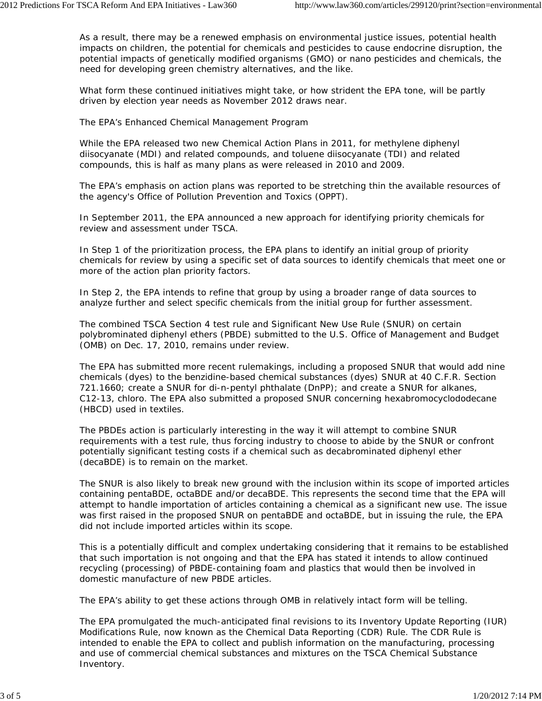As a result, there may be a renewed emphasis on environmental justice issues, potential health impacts on children, the potential for chemicals and pesticides to cause endocrine disruption, the potential impacts of genetically modified organisms (GMO) or nano pesticides and chemicals, the need for developing green chemistry alternatives, and the like.

What form these continued initiatives might take, or how strident the EPA tone, will be partly driven by election year needs as November 2012 draws near.

### *The EPA's Enhanced Chemical Management Program*

While the EPA released two new Chemical Action Plans in 2011, for methylene diphenyl diisocyanate (MDI) and related compounds, and toluene diisocyanate (TDI) and related compounds, this is half as many plans as were released in 2010 and 2009.

The EPA's emphasis on action plans was reported to be stretching thin the available resources of the agency's Office of Pollution Prevention and Toxics (OPPT).

In September 2011, the EPA announced a new approach for identifying priority chemicals for review and assessment under TSCA.

In Step 1 of the prioritization process, the EPA plans to identify an initial group of priority chemicals for review by using a specific set of data sources to identify chemicals that meet one or more of the action plan priority factors.

In Step 2, the EPA intends to refine that group by using a broader range of data sources to analyze further and select specific chemicals from the initial group for further assessment.

The combined TSCA Section 4 test rule and Significant New Use Rule (SNUR) on certain polybrominated diphenyl ethers (PBDE) submitted to the U.S. Office of Management and Budget (OMB) on Dec. 17, 2010, remains under review.

The EPA has submitted more recent rulemakings, including a proposed SNUR that would add nine chemicals (dyes) to the benzidine-based chemical substances (dyes) SNUR at 40 C.F.R. Section 721.1660; create a SNUR for di-n-pentyl phthalate (DnPP); and create a SNUR for alkanes, C12-13, chloro. The EPA also submitted a proposed SNUR concerning hexabromocyclododecane (HBCD) used in textiles.

The PBDEs action is particularly interesting in the way it will attempt to combine SNUR requirements with a test rule, thus forcing industry to choose to abide by the SNUR or confront potentially significant testing costs if a chemical such as decabrominated diphenyl ether (decaBDE) is to remain on the market.

The SNUR is also likely to break new ground with the inclusion within its scope of imported articles containing pentaBDE, octaBDE and/or decaBDE. This represents the second time that the EPA will attempt to handle importation of articles containing a chemical as a significant new use. The issue was first raised in the proposed SNUR on pentaBDE and octaBDE, but in issuing the rule, the EPA did not include imported articles within its scope.

This is a potentially difficult and complex undertaking considering that it remains to be established that such importation is not ongoing and that the EPA has stated it intends to allow continued recycling (processing) of PBDE-containing foam and plastics that would then be involved in domestic manufacture of new PBDE articles.

The EPA's ability to get these actions through OMB in relatively intact form will be telling.

The EPA promulgated the much-anticipated final revisions to its Inventory Update Reporting (IUR) Modifications Rule, now known as the Chemical Data Reporting (CDR) Rule. The CDR Rule is intended to enable the EPA to collect and publish information on the manufacturing, processing and use of commercial chemical substances and mixtures on the TSCA Chemical Substance Inventory.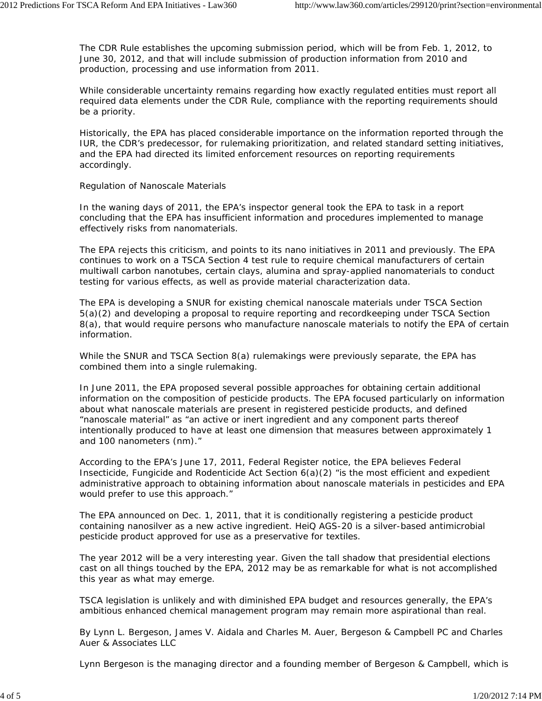The CDR Rule establishes the upcoming submission period, which will be from Feb. 1, 2012, to June 30, 2012, and that will include submission of production information from 2010 and production, processing and use information from 2011.

While considerable uncertainty remains regarding how exactly regulated entities must report all required data elements under the CDR Rule, compliance with the reporting requirements should be a priority.

Historically, the EPA has placed considerable importance on the information reported through the IUR, the CDR's predecessor, for rulemaking prioritization, and related standard setting initiatives, and the EPA had directed its limited enforcement resources on reporting requirements accordingly.

## *Regulation of Nanoscale Materials*

In the waning days of 2011, the EPA's inspector general took the EPA to task in a report concluding that the EPA has insufficient information and procedures implemented to manage effectively risks from nanomaterials.

The EPA rejects this criticism, and points to its nano initiatives in 2011 and previously. The EPA continues to work on a TSCA Section 4 test rule to require chemical manufacturers of certain multiwall carbon nanotubes, certain clays, alumina and spray-applied nanomaterials to conduct testing for various effects, as well as provide material characterization data.

The EPA is developing a SNUR for existing chemical nanoscale materials under TSCA Section 5(a)(2) and developing a proposal to require reporting and recordkeeping under TSCA Section 8(a), that would require persons who manufacture nanoscale materials to notify the EPA of certain information.

While the SNUR and TSCA Section 8(a) rulemakings were previously separate, the EPA has combined them into a single rulemaking.

In June 2011, the EPA proposed several possible approaches for obtaining certain additional information on the composition of pesticide products. The EPA focused particularly on information about what nanoscale materials are present in registered pesticide products, and defined "nanoscale material" as "an active or inert ingredient and any component parts thereof intentionally produced to have at least one dimension that measures between approximately 1 and 100 nanometers (nm)."

According to the EPA's June 17, 2011, Federal Register notice, the EPA believes Federal Insecticide, Fungicide and Rodenticide Act Section  $6(a)(2)$  "is the most efficient and expedient administrative approach to obtaining information about nanoscale materials in pesticides and EPA would prefer to use this approach."

The EPA announced on Dec. 1, 2011, that it is conditionally registering a pesticide product containing nanosilver as a new active ingredient. HeiQ AGS-20 is a silver-based antimicrobial pesticide product approved for use as a preservative for textiles.

The year 2012 will be a very interesting year. Given the tall shadow that presidential elections cast on all things touched by the EPA, 2012 may be as remarkable for what is not accomplished this year as what may emerge.

TSCA legislation is unlikely and with diminished EPA budget and resources generally, the EPA's ambitious enhanced chemical management program may remain more aspirational than real.

By Lynn L. Bergeson, James V. Aidala and Charles M. Auer, Bergeson & Campbell PC and Charles Auer & Associates LLC

*Lynn Bergeson is the managing director and a founding member of Bergeson & Campbell, which is*